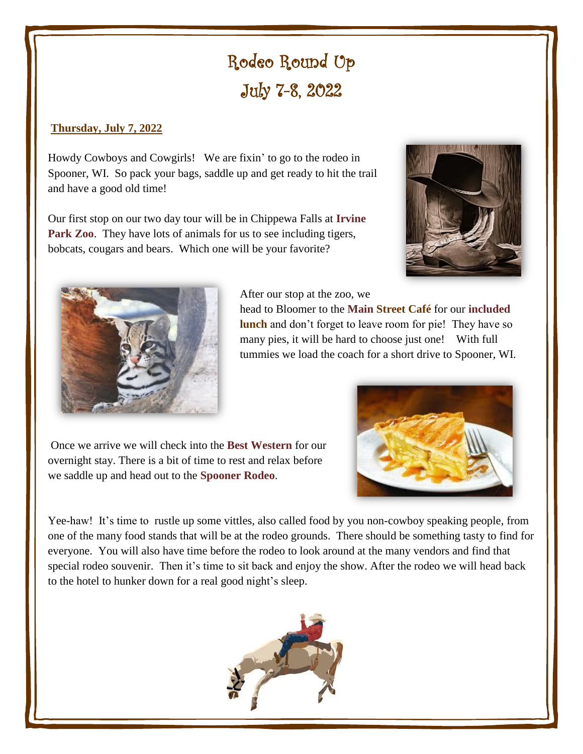# Rodeo Round Up July 7-8, 2022

## **Thursday, July 7, 2022**

Howdy Cowboys and Cowgirls! We are fixin' to go to the rodeo in Spooner, WI. So pack your bags, saddle up and get ready to hit the trail and have a good old time!

Our first stop on our two day tour will be in Chippewa Falls at **Irvine Park Zoo.** They have lots of animals for us to see including tigers, bobcats, cougars and bears. Which one will be your favorite?





After our stop at the zoo, we

head to Bloomer to the **Main Street Café** for our **included lunch** and don't forget to leave room for pie! They have so many pies, it will be hard to choose just one! With full tummies we load the coach for a short drive to Spooner, WI.

Once we arrive we will check into the **Best Western** for our overnight stay. There is a bit of time to rest and relax before we saddle up and head out to the **Spooner Rodeo**.



Yee-haw! It's time to rustle up some vittles, also called food by you non-cowboy speaking people, from one of the many food stands that will be at the rodeo grounds. There should be something tasty to find for everyone. You will also have time before the rodeo to look around at the many vendors and find that special rodeo souvenir. Then it's time to sit back and enjoy the show. After the rodeo we will head back to the hotel to hunker down for a real good night's sleep.